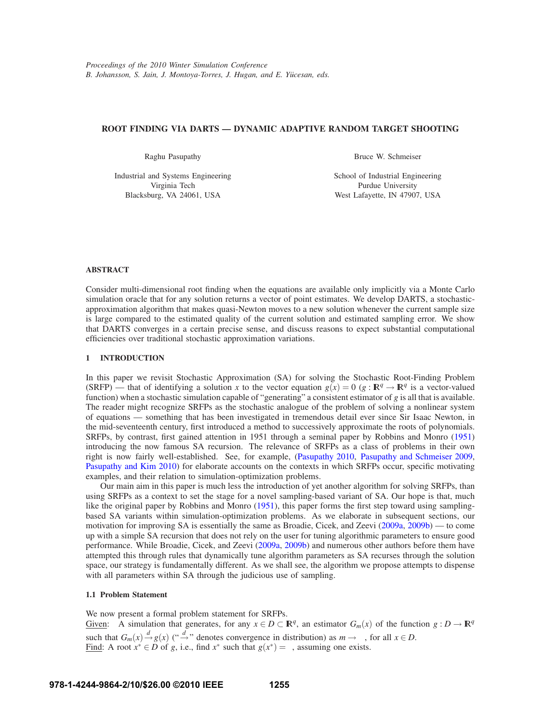# **ROOT FINDING VIA DARTS — DYNAMIC ADAPTIVE RANDOM TARGET SHOOTING**

Raghu Pasupathy

Industrial and Systems Engineering Virginia Tech Blacksburg, VA 24061, USA

Bruce W. Schmeiser

School of Industrial Engineering Purdue University West Lafayette, IN 47907, USA

# **ABSTRACT**

Consider multi-dimensional root finding when the equations are available only implicitly via a Monte Carlo simulation oracle that for any solution returns a vector of point estimates. We develop DARTS, a stochasticapproximation algorithm that makes quasi-Newton moves to a new solution whenever the current sample size is large compared to the estimated quality of the current solution and estimated sampling error. We show that DARTS converges in a certain precise sense, and discuss reasons to expect substantial computational efficiencies over traditional stochastic approximation variations.

# **1 INTRODUCTION**

In this paper we revisit Stochastic Approximation (SA) for solving the Stochastic Root-Finding Problem (SRFP) — that of identifying a solution x to the vector equation  $g(x) = 0$  ( $g : \mathbb{R}^q \to \mathbb{R}^q$  is a vector-valued function) when a stochastic simulation capable of "generating" a consistent estimator of *g* is all that is available. The reader might recognize SRFPs as the stochastic analogue of the problem of solving a nonlinear system of equations — something that has been investigated in tremendous detail ever since Sir Isaac Newton, in the mid-seventeenth century, first introduced a method to successively approximate the roots of polynomials. SRFPs, by contrast, first gained attention in 1951 through a seminal paper by Robbins and Monro (1951) introducing the now famous SA recursion. The relevance of SRFPs as a class of problems in their own right is now fairly well-established. See, for example, (Pasupathy 2010, Pasupathy and Schmeiser 2009, Pasupathy and Kim 2010) for elaborate accounts on the contexts in which SRFPs occur, specific motivating examples, and their relation to simulation-optimization problems.

Our main aim in this paper is much less the introduction of yet another algorithm for solving SRFPs, than using SRFPs as a context to set the stage for a novel sampling-based variant of SA. Our hope is that, much like the original paper by Robbins and Monro (1951), this paper forms the first step toward using samplingbased SA variants within simulation-optimization problems. As we elaborate in subsequent sections, our motivation for improving SA is essentially the same as Broadie, Cicek, and Zeevi (2009a, 2009b) — to come up with a simple SA recursion that does not rely on the user for tuning algorithmic parameters to ensure good performance. While Broadie, Cicek, and Zeevi (2009a, 2009b) and numerous other authors before them have attempted this through rules that dynamically tune algorithm parameters as SA recurses through the solution space, our strategy is fundamentally different. As we shall see, the algorithm we propose attempts to dispense with all parameters within SA through the judicious use of sampling.

## **1.1 Problem Statement**

We now present a formal problem statement for SRFPs. Given: A simulation that generates, for any  $x \in D \subset \mathbb{R}^q$ , an estimator  $G_m(x)$  of the function  $g: D \to \mathbb{R}^q$ such that  $G_m(x) \stackrel{d}{\rightarrow} g(x)$  (" $\stackrel{d}{\rightarrow}$ " denotes convergence in distribution) as  $m \rightarrow \infty$ , for all  $x \in D$ . Find: A root  $x^* \in D$  of *g*, i.e., find  $x^*$  such that  $g(x^*) = \gamma$ , assuming one exists.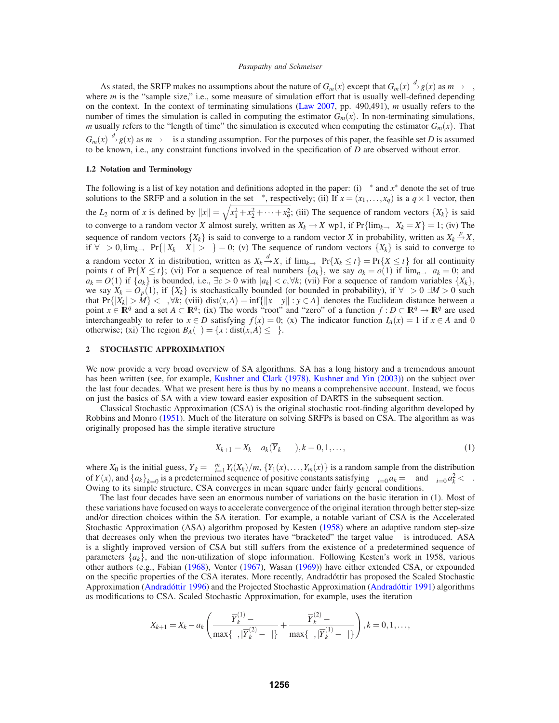As stated, the SRFP makes no assumptions about the nature of  $G_m(x)$  except that  $G_m(x) \stackrel{d}{\rightarrow} g(x)$  as  $m \rightarrow \infty$ , where *m* is the "sample size," i.e., some measure of simulation effort that is usually well-defined depending on the context. In the context of terminating simulations (Law 2007, pp. 490,491), *m* usually refers to the number of times the simulation is called in computing the estimator  $G_m(x)$ . In non-terminating simulations, *m* usually refers to the "length of time" the simulation is executed when computing the estimator  $G_m(x)$ . That  $G_m(x) \stackrel{d}{\rightarrow} g(x)$  as  $m \rightarrow \infty$  is a standing assumption. For the purposes of this paper, the feasible set *D* is assumed to be known, i.e., any constraint functions involved in the specification of *D* are observed without error.

#### **1.2 Notation and Terminology**

The following is a list of key notation and definitions adopted in the paper: (i)  $\pi^*$  and  $x^*$  denote the set of true solutions to the SRFP and a solution in the set  $\pi^*$ , respectively; (ii) If  $x = (x_1, \ldots, x_q)$  is a  $q \times 1$  vector, then the *L*<sub>2</sub> norm of *x* is defined by  $||x|| = \sqrt{x_1^2 + x_2^2 + \cdots + x_q^2}$ ; (iii) The sequence of random vectors  $\{X_k\}$  is said to converge to a random vector *X* almost surely, written as  $X_k \to X$  wp1, if  $Pr{\{\lim_{k \to \infty} X_k = X\}} = 1$ ; (iv) The sequence of random vectors  $\{X_k\}$  is said to converge to a random vector *X* in probability, written as  $X_k \stackrel{p}{\rightarrow} X$ , if  $\forall \varepsilon > 0$ ,  $\lim_{k \to \infty} Pr\{\Vert X_k - X \Vert > \varepsilon\} = 0$ ; (v) The sequence of random vectors  $\{X_k\}$  is said to converge to a random vector *X* in distribution, written as  $X_k \xrightarrow{d} X$ , if  $\lim_{k \to \infty} Pr\{X_k \le t\} = Pr\{X \le t\}$  for all continuity points *t* of Pr{*X*  $\leq t$ }; (vi) For a sequence of real numbers  $\{a_k\}$ , we say  $a_k = o(1)$  if  $\lim_{n\to\infty} a_k = 0$ ; and  $a_k = O(1)$  if  $\{a_k\}$  is bounded, i.e.,  $\exists c > 0$  with  $|a_k| < c$ ,  $\forall k$ ; (vii) For a sequence of random variables  $\{X_k\}$ , we say  $X_k = O_p(1)$ , if  $\{X_k\}$  is stochastically bounded (or bounded in probability), if  $\forall \varepsilon > 0$   $\exists M > 0$  such that Pr{ $|X_k| > M$ }  $\lt \varepsilon, \forall k$ ; (viii) dist(x,*A*) = inf{ $\|x - y\| : y \in A$ } denotes the Euclidean distance between a point  $x \in \mathbb{R}^q$  and a set  $A \subset \mathbb{R}^q$ ; (ix) The words "root" and "zero" of a function  $f : D \subset \mathbb{R}^q \to \mathbb{R}^q$  are used interchangeably to refer to  $x \in D$  satisfying  $f(x) = 0$ ; (x) The indicator function  $I_A(x) = 1$  if  $x \in A$  and 0 otherwise; (xi) The region  $B_A(\varepsilon) = \{x : dist(x, A) \le \varepsilon\}.$ 

## **2 STOCHASTIC APPROXIMATION**

We now provide a very broad overview of SA algorithms. SA has a long history and a tremendous amount has been written (see, for example, Kushner and Clark (1978), Kushner and Yin (2003)) on the subject over the last four decades. What we present here is thus by no means a comprehensive account. Instead, we focus on just the basics of SA with a view toward easier exposition of DARTS in the subsequent section.

Classical Stochastic Approximation (CSA) is the original stochastic root-finding algorithm developed by Robbins and Monro (1951). Much of the literature on solving SRFPs is based on CSA. The algorithm as was originally proposed has the simple iterative structure

$$
X_{k+1} = X_k - a_k(\overline{Y}_k - \gamma), k = 0, 1, \dots,
$$
\n<sup>(1)</sup>

where  $X_0$  is the initial guess,  $\overline{Y}_k = \sum_{i=1}^m Y_i(X_k)/m$ ,  $\{Y_1(x), \ldots, Y_m(x)\}$  is a random sample from the distribution of *Y*(*x*), and  $\{a_k\}_{k=0}^{\infty}$  is a predetermined sequence of positive constants satisfying  $\sum_{i=0}^{\infty} a_k = \infty$  and  $\sum_{i=0}^{\infty} a_k^2 < \infty$ . Owing to its simple structure, CSA converges in mean square under fairly general conditions.

The last four decades have seen an enormous number of variations on the basic iteration in (1). Most of these variations have focused on ways to accelerate convergence of the original iteration through better step-size and/or direction choices within the SA iteration. For example, a notable variant of CSA is the Accelerated Stochastic Approximation (ASA) algorithm proposed by Kesten (1958) where an adaptive random step-size that decreases only when the previous two iterates have "bracketed" the target value  $\gamma$  is introduced. ASA is a slightly improved version of CSA but still suffers from the existence of a predetermined sequence of parameters  $\{a_k\}$ , and the non-utilization of slope information. Following Kesten's work in 1958, various other authors (e.g., Fabian (1968), Venter (1967), Wasan (1969)) have either extended CSA, or expounded on the specific properties of the CSA iterates. More recently, Andradóttir has proposed the Scaled Stochastic Approximation (Andradóttir 1996) and the Projected Stochastic Approximation (Andradóttir 1991) algorithms as modifications to CSA. Scaled Stochastic Approximation, for example, uses the iteration

$$
X_{k+1} = X_k - a_k \left( \frac{\overline{Y}_k^{(1)} - \gamma}{\max\{\varepsilon, |\overline{Y}_k^{(2)} - \gamma|\}} + \frac{\overline{Y}_k^{(2)} - \gamma}{\max\{\varepsilon, |\overline{Y}_k^{(1)} - \gamma|\}} \right), k = 0, 1, \ldots,
$$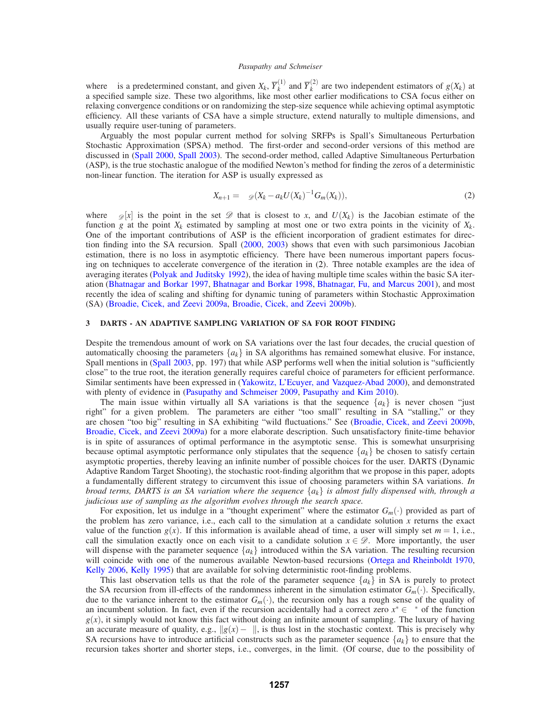where  $\varepsilon$  is a predetermined constant, and given  $X_k$ ,  $\overline{Y}_k^{(1)}$  and  $\overline{Y}_k^{(2)}$  are two independent estimators of  $g(X_k)$  at a specified sample size. These two algorithms, like most other earlier modifications to CSA focus either on relaxing convergence conditions or on randomizing the step-size sequence while achieving optimal asymptotic efficiency. All these variants of CSA have a simple structure, extend naturally to multiple dimensions, and usually require user-tuning of parameters.

Arguably the most popular current method for solving SRFPs is Spall's Simultaneous Perturbation Stochastic Approximation (SPSA) method. The first-order and second-order versions of this method are discussed in (Spall 2000, Spall 2003). The second-order method, called Adaptive Simultaneous Perturbation (ASP), is the true stochastic analogue of the modified Newton's method for finding the zeros of a deterministic non-linear function. The iteration for ASP is usually expressed as

$$
X_{n+1} = \Pi_{\mathscr{D}}(X_k - a_k U(X_k)^{-1} G_m(X_k)),
$$
\n(2)

where  $\Pi_{\mathscr{D}}[x]$  is the point in the set  $\mathscr{D}$  that is closest to *x*, and  $U(X_k)$  is the Jacobian estimate of the function *g* at the point  $X_k$  estimated by sampling at most one or two extra points in the vicinity of  $X_k$ . One of the important contributions of ASP is the efficient incorporation of gradient estimates for direction finding into the SA recursion. Spall (2000, 2003) shows that even with such parsimonious Jacobian estimation, there is no loss in asymptotic efficiency. There have been numerous important papers focusing on techniques to accelerate convergence of the iteration in (2). Three notable examples are the idea of averaging iterates (Polyak and Juditsky 1992), the idea of having multiple time scales within the basic SA iteration (Bhatnagar and Borkar 1997, Bhatnagar and Borkar 1998, Bhatnagar, Fu, and Marcus 2001), and most recently the idea of scaling and shifting for dynamic tuning of parameters within Stochastic Approximation (SA) (Broadie, Cicek, and Zeevi 2009a, Broadie, Cicek, and Zeevi 2009b).

# **3 DARTS - AN ADAPTIVE SAMPLING VARIATION OF SA FOR ROOT FINDING**

Despite the tremendous amount of work on SA variations over the last four decades, the crucial question of automatically choosing the parameters  $\{a_k\}$  in SA algorithms has remained somewhat elusive. For instance, Spall mentions in (Spall 2003, pp. 197) that while ASP performs well when the initial solution is "sufficiently close" to the true root, the iteration generally requires careful choice of parameters for efficient performance. Similar sentiments have been expressed in (Yakowitz, L'Ecuyer, and Vazquez-Abad 2000), and demonstrated with plenty of evidence in (Pasupathy and Schmeiser 2009, Pasupathy and Kim 2010).

The main issue within virtually all SA variations is that the sequence  $\{a_k\}$  is never chosen "just" right" for a given problem. The parameters are either "too small" resulting in SA "stalling," or they are chosen "too big" resulting in SA exhibiting "wild fluctuations." See (Broadie, Cicek, and Zeevi 2009b, Broadie, Cicek, and Zeevi 2009a) for a more elaborate description. Such unsatisfactory finite-time behavior is in spite of assurances of optimal performance in the asymptotic sense. This is somewhat unsurprising because optimal asymptotic performance only stipulates that the sequence  $\{a_k\}$  be chosen to satisfy certain asymptotic properties, thereby leaving an infinite number of possible choices for the user. DARTS (Dynamic Adaptive Random Target Shooting), the stochastic root-finding algorithm that we propose in this paper, adopts a fundamentally different strategy to circumvent this issue of choosing parameters within SA variations. *In broad terms, DARTS is an SA variation where the sequence*  $\{a_k\}$  *is almost fully dispensed with, through a judicious use of sampling as the algorithm evolves through the search space.*

For exposition, let us indulge in a "thought experiment" where the estimator *Gm*(·) provided as part of the problem has zero variance, i.e., each call to the simulation at a candidate solution *x* returns the exact value of the function  $g(x)$ . If this information is available ahead of time, a user will simply set  $m = 1$ , i.e., call the simulation exactly once on each visit to a candidate solution  $x \in \mathcal{D}$ . More importantly, the user will dispense with the parameter sequence {*ak*} introduced within the SA variation. The resulting recursion will coincide with one of the numerous available Newton-based recursions (Ortega and Rheinboldt 1970, Kelly 2006, Kelly 1995) that are available for solving deterministic root-finding problems.

This last observation tells us that the role of the parameter sequence  $\{a_k\}$  in SA is purely to protect the SA recursion from ill-effects of the randomness inherent in the simulation estimator  $G_m(\cdot)$ . Specifically, due to the variance inherent to the estimator  $G_m(\cdot)$ , the recursion only has a rough sense of the quality of an incumbent solution. In fact, even if the recursion accidentally had a correct zero  $x^* \in \pi^*$  of the function  $g(x)$ , it simply would not know this fact without doing an infinite amount of sampling. The luxury of having an accurate measure of quality, e.g.,  $||g(x) - \gamma||$ , is thus lost in the stochastic context. This is precisely why SA recursions have to introduce artificial constructs such as the parameter sequence  $\{a_k\}$  to ensure that the recursion takes shorter and shorter steps, i.e., converges, in the limit. (Of course, due to the possibility of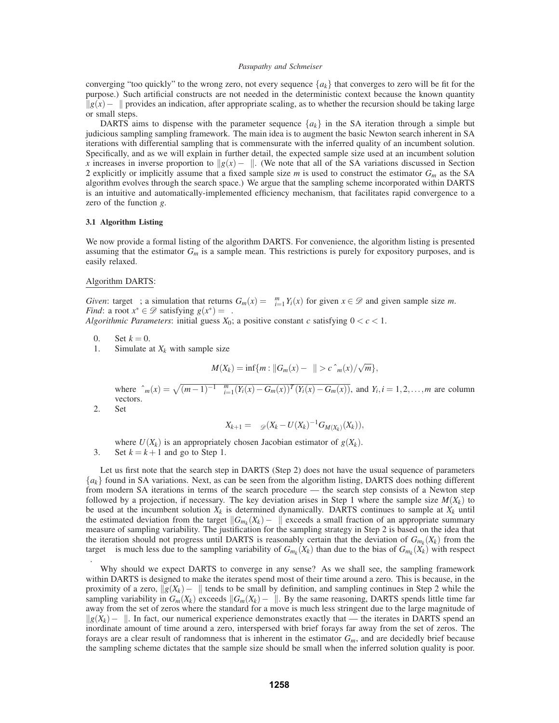converging "too quickly" to the wrong zero, not every sequence  ${a_k}$  that converges to zero will be fit for the purpose.) Such artificial constructs are not needed in the deterministic context because the known quantity  $||g(x) - \gamma||$  provides an indication, after appropriate scaling, as to whether the recursion should be taking large or small steps.

DARTS aims to dispense with the parameter sequence  $\{a_k\}$  in the SA iteration through a simple but judicious sampling sampling framework. The main idea is to augment the basic Newton search inherent in SA iterations with differential sampling that is commensurate with the inferred quality of an incumbent solution. Specifically, and as we will explain in further detail, the expected sample size used at an incumbent solution *x* increases in inverse proportion to  $\frac{g(x) - \gamma}{\alpha}$ . (We note that all of the SA variations discussed in Section 2 explicitly or implicitly assume that a fixed sample size *m* is used to construct the estimator *Gm* as the SA algorithm evolves through the search space.) We argue that the sampling scheme incorporated within DARTS is an intuitive and automatically-implemented efficiency mechanism, that facilitates rapid convergence to a zero of the function *g*.

#### **3.1 Algorithm Listing**

We now provide a formal listing of the algorithm DARTS. For convenience, the algorithm listing is presented assuming that the estimator *Gm* is a sample mean. This restrictions is purely for expository purposes, and is easily relaxed.

## Algorithm DARTS:

*Given*: target  $\gamma$ ; a simulation that returns  $G_m(x) = \sum_{i=1}^m Y_i(x)$  for given  $x \in \mathcal{D}$  and given sample size *m*. *Find*: a root  $x^* \in \mathcal{D}$  satisfying  $g(x^*) = \gamma$ .

*Algorithmic Parameters:* initial guess  $X_0$ ; a positive constant *c* satisfying  $0 < c < 1$ .

- 0. Set  $k = 0$ .
- 1. Simulate at  $X_k$  with sample size

$$
M(X_k) = \inf\{m : ||G_m(x) - \gamma|| > c\hat{\sigma}_m(x)/\sqrt{m}\},
$$

where  $\hat{\sigma}_m(x) = \sqrt{(m-1)^{-1} \sum_{i=1}^m (Y_i(x) - G_m(x))^T (Y_i(x) - G_m(x))}$ , and  $Y_i, i = 1, 2, ..., m$  are column vectors.

2. Set

$$
X_{k+1} = \Pi_{\mathscr{D}}(X_k - U(X_k)^{-1} G_{M(X_k)}(X_k)),
$$

where  $U(X_k)$  is an appropriately chosen Jacobian estimator of  $g(X_k)$ . 3. Set  $k = k + 1$  and go to Step 1.

Let us first note that the search step in DARTS (Step 2) does not have the usual sequence of parameters {*ak*} found in SA variations. Next, as can be seen from the algorithm listing, DARTS does nothing different from modern SA iterations in terms of the search procedure — the search step consists of a Newton step followed by a projection, if necessary. The key deviation arises in Step 1 where the sample size  $M(X_k)$  to be used at the incumbent solution  $X_k$  is determined dynamically. DARTS continues to sample at  $X_k$  until the estimated deviation from the target  $||G_{m_k}(X_k)-\gamma||$  exceeds a small fraction of an appropriate summary measure of sampling variability. The justification for the sampling strategy in Step 2 is based on the idea that the iteration should not progress until DARTS is reasonably certain that the deviation of  $G_{m_k}(X_k)$  from the target  $\gamma$  is much less due to the sampling variability of  $G_{m_k}(X_k)$  than due to the bias of  $G_{m_k}(X_k)$  with respect γ.

Why should we expect DARTS to converge in any sense? As we shall see, the sampling framework within DARTS is designed to make the iterates spend most of their time around a zero. This is because, in the proximity of a zero,  $||g(X_k)-\gamma||$  tends to be small by definition, and sampling continues in Step 2 while the sampling variability in  $G_m(X_k)$  exceeds  $||G_m(X_k) - \gamma||$ . By the same reasoning, DARTS spends little time far away from the set of zeros where the standard for a move is much less stringent due to the large magnitude of  $||g(X_k)-\gamma||$ . In fact, our numerical experience demonstrates exactly that — the iterates in DARTS spend an inordinate amount of time around a zero, interspersed with brief forays far away from the set of zeros. The forays are a clear result of randomness that is inherent in the estimator  $G_m$ , and are decidedly brief because the sampling scheme dictates that the sample size should be small when the inferred solution quality is poor.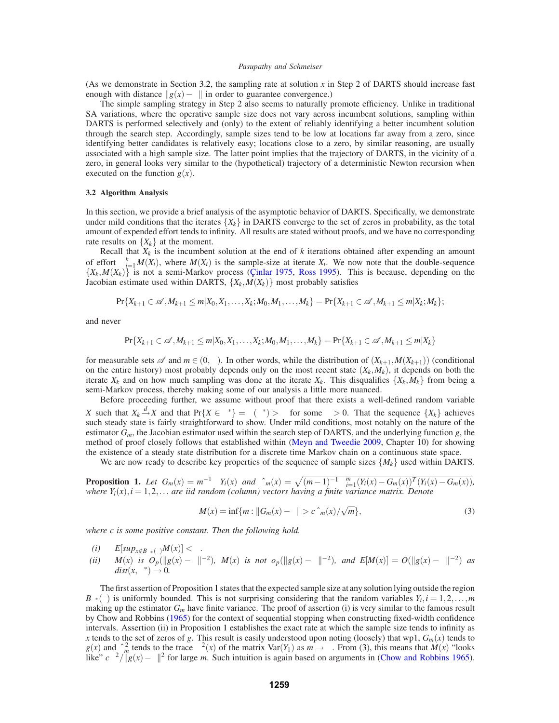(As we demonstrate in Section 3.2, the sampling rate at solution  $x$  in Step 2 of DARTS should increase fast enough with distance  $||g(x)-\gamma||$  in order to guarantee convergence.)

The simple sampling strategy in Step 2 also seems to naturally promote efficiency. Unlike in traditional SA variations, where the operative sample size does not vary across incumbent solutions, sampling within DARTS is performed selectively and (only) to the extent of reliably identifying a better incumbent solution through the search step. Accordingly, sample sizes tend to be low at locations far away from a zero, since identifying better candidates is relatively easy; locations close to a zero, by similar reasoning, are usually associated with a high sample size. The latter point implies that the trajectory of DARTS, in the vicinity of a zero, in general looks very similar to the (hypothetical) trajectory of a deterministic Newton recursion when executed on the function  $g(x)$ .

#### **3.2 Algorithm Analysis**

In this section, we provide a brief analysis of the asymptotic behavior of DARTS. Specifically, we demonstrate under mild conditions that the iterates  $\{X_k\}$  in DARTS converge to the set of zeros in probability, as the total amount of expended effort tends to infinity. All results are stated without proofs, and we have no corresponding rate results on  ${X_k}$  at the moment.

Recall that *Xk* is the incumbent solution at the end of *k* iterations obtained after expending an amount of effort  $\sum_{i=1}^{k} M(X_i)$ , where  $M(X_i)$  is the sample-size at iterate  $X_i$ . We now note that the double-sequence  $\{X_k, M(X_k)\}\$ is not a semi-Markov process (Cinlar 1975, Ross 1995). This is because, depending on the Jacobian estimate used within DARTS,  $\{X_k, M(X_k)\}\$  most probably satisfies

$$
\Pr\{X_{k+1} \in \mathcal{A}, M_{k+1} \leq m | X_0, X_1, \ldots, X_k; M_0, M_1, \ldots, M_k\} = \Pr\{X_{k+1} \in \mathcal{A}, M_{k+1} \leq m | X_k; M_k\};
$$

and never

$$
\Pr\{X_{k+1} \in \mathcal{A}, M_{k+1} \leq m | X_0, X_1, \ldots, X_k; M_0, M_1, \ldots, M_k\} = \Pr\{X_{k+1} \in \mathcal{A}, M_{k+1} \leq m | X_k\}
$$

for measurable sets  $\mathscr A$  and  $m \in (0, \infty)$ . In other words, while the distribution of  $(X_{k+1}, M(X_{k+1}))$  (conditional on the entire history) most probably depends only on the most recent state  $(X_k, M_k)$ , it depends on both the iterate  $X_k$  and on how much sampling was done at the iterate  $X_k$ . This disqualifies  $\{X_k, M_k\}$  from being a semi-Markov process, thereby making some of our analysis a little more nuanced.

Before proceeding further, we assume without proof that there exists a well-defined random variable *X* such that  $X_k \xrightarrow{d} X$  and that  $\Pr\{X \in \pi^*\} = \mu(\pi^*) > \delta$  for some  $\delta > 0$ . That the sequence  $\{X_k\}$  achieves such steady state is fairly straightforward to show. Under mild conditions, most notably on the nature of the estimator  $G_m$ , the Jacobian estimator used within the search step of DARTS, and the underlying function *g*, the method of proof closely follows that established within (Meyn and Tweedie 2009, Chapter 10) for showing the existence of a steady state distribution for a discrete time Markov chain on a continuous state space.

We are now ready to describe key properties of the sequence of sample sizes  $\{M_k\}$  used within DARTS.

**Proposition 1.** Let  $G_m(x) = m^{-1} \sum Y_i(x)$  and  $\hat{\sigma}_m(x) = \sqrt{(m-1)^{-1} \sum_{i=1}^m (Y_i(x) - G_m(x))^T (Y_i(x) - G_m(x))}$ , *where*  $Y_i(x)$ ,  $i = 1, 2, \ldots$  *are iid random (column) vectors having a finite variance matrix. Denote* 

$$
M(x) = \inf\{m : ||G_m(x) - \gamma|| > c\hat{\sigma}_m(x)/\sqrt{m}\},\tag{3}
$$

*where c is some positive constant. Then the following hold.*

$$
(i) \qquad E[sup_{x \notin B_{\pi^*}(\varepsilon)}M(x)] < \infty.
$$

*(ii)*  $M(x)$  *is*  $O_p(||g(x) - \gamma||^{-2})$ *,*  $M(x)$  *is not op*(k*g*(*x*) −  $\gamma||^{-2}$ *), and E*[ $M(x)$ ] =  $O(||g(x) - \gamma||^{-2})$  *as*  $dist(x, \pi^*) \to 0.$ 

The first assertion of Proposition 1 states that the expected sample size at any solution lying outside the region  $B_{\pi^*}(\varepsilon)$  is uniformly bounded. This is not surprising considering that the random variables  $Y_i$ ,  $i = 1, 2, \ldots, m$ making up the estimator  $G_m$  have finite variance. The proof of assertion (i) is very similar to the famous result by Chow and Robbins (1965) for the context of sequential stopping when constructing fixed-width confidence intervals. Assertion (ii) in Proposition 1 establishes the exact rate at which the sample size tends to infinity as *x* tends to the set of zeros of *g*. This result is easily understood upon noting (loosely) that wp1,  $G_m(x)$  tends to  $g(x)$  and  $\hat{\sigma}_m^2$  tends to the trace  $\sigma^2(x)$  of the matrix  $Var(Y_1)$  as  $m \to \infty$ . From (3), this means that  $M(x)$  "looks" like"  $c\sigma^2/\Vert g(x)-\gamma\Vert^2$  for large *m*. Such intuition is again based on arguments in (Chow and Robbins 1965).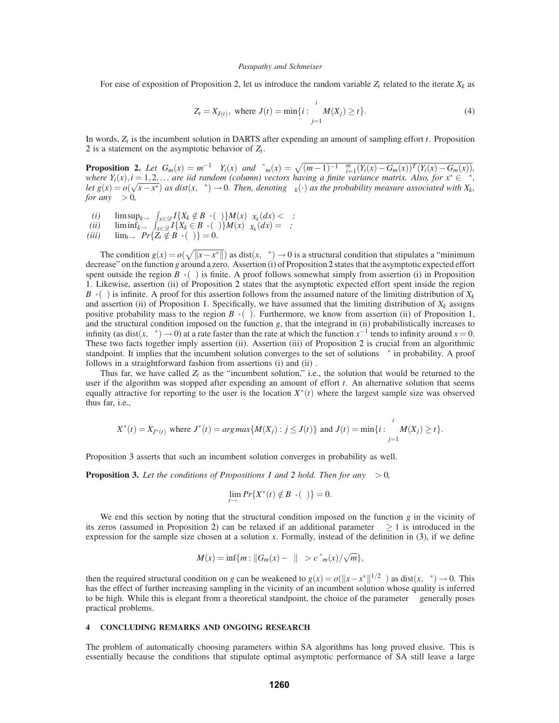For ease of exposition of Proposition 2, let us introduce the random variable  $Z_t$  related to the iterate  $X_k$  as

$$
Z_t = X_{J(t)}, \text{ where } J(t) = \min\{i : \sum_{j=1}^i M(X_j) \ge t\}.
$$
 (4)

In words, *Zt* is the incumbent solution in DARTS after expending an amount of sampling effort *t*. Proposition 2 is a statement on the asymptotic behavior of  $Z_t$ .

**Proposition 2.** Let  $G_m(x) = m^{-1} \sum Y_i(x)$  and  $\hat{\sigma}_m(x) = \sqrt{(m-1)^{-1} \sum_{i=1}^m (Y_i(x) - G_m(x))^T (Y_i(x) - G_m(x))}$ , *where*  $Y_i(x)$ ,  $i = 1, 2, \ldots$  *are iid random (column) vectors having a finite variance matrix. Also, for*  $x^* \in \pi^*$ , *let*  $g(x) = o(\sqrt{x-x^*})$  *as dist*( $x, \pi^*$ )  $\rightarrow$  0*. Then, denoting*  $\mu_k(\cdot)$  *as the probability measure associated with*  $X_k$ , *for any*  $\varepsilon > 0$ *,* 

- *(i)*  $\limsup_{k \to \infty} \int_{x \in \mathcal{D}} I\{X_k \notin B_{\pi^*}(\varepsilon)\} M(x) \mu_{X_k}(dx) < \infty;$
- $\liminf_{k \to \infty} \int_{x \in \mathscr{D}} I\{X_k \in B_{\pi^*}(\varepsilon)\} M(x) \mu_{X_k}(dx) = \infty;$

 $(iii)$   $\lim_{t\to\infty} Pr\{Z_t \notin B_{\pi^*}(\varepsilon)\}=0.$ 

The condition  $g(x) = o(\sqrt{\|x - x^*\|})$  as dist $(x, \pi^*) \to 0$  is a structural condition that stipulates a "minimum" decrease" on the function *g* around a zero. Assertion (i) of Proposition 2 states that the asymptotic expected effort spent outside the region  $B_{\pi^*}(\varepsilon)$  is finite. A proof follows somewhat simply from assertion (i) in Proposition 1. Likewise, assertion (ii) of Proposition 2 states that the asymptotic expected effort spent inside the region  $B_{\pi^*}(\varepsilon)$  is infinite. A proof for this assertion follows from the assumed nature of the limiting distribution of  $X_k$ and assertion (ii) of Proposition 1. Specifically, we have assumed that the limiting distribution of  $X_k$  assigns positive probability mass to the region  $B_{\pi^*}(\varepsilon)$ . Furthermore, we know from assertion (ii) of Proposition 1, and the structural condition imposed on the function  $g$ , that the integrand in (ii) probabilistically increases to infinity (as dist( $x, \pi^*$ ) → 0) at a rate faster than the rate at which the function  $x^{-1}$  tends to infinity around  $x = 0$ . These two facts together imply assertion (ii). Assertion (iii) of Proposition 2 is crucial from an algorithmic standpoint. It implies that the incumbent solution converges to the set of solutions  $\pi^*$  in probability. A proof follows in a straightforward fashion from assertions (i) and (ii) .

Thus far, we have called  $Z_t$  as the "incumbent solution," i.e., the solution that would be returned to the user if the algorithm was stopped after expending an amount of effort *t*. An alternative solution that seems equally attractive for reporting to the user is the location  $X^*(t)$  where the largest sample size was observed thus far, i.e.,

$$
X^*(t) = X_{J^*(t)}
$$
 where  $J^*(t) = argmax\{M(X_j) : j \leq J(t)\}$  and  $J(t) = min\{i : \sum_{j=1}^i M(X_j) \geq t\}.$ 

Proposition 3 asserts that such an incumbent solution converges in probability as well.

**Proposition 3.** Let the conditions of Propositions 1 and 2 hold. Then for any  $\varepsilon > 0$ ,

$$
\lim_{t\to\infty}Pr\{X^*(t)\notin B_{\pi^*}(\varepsilon)\}=0.
$$

We end this section by noting that the structural condition imposed on the function *g* in the vicinity of its zeros (assumed in Proposition 2) can be relaxed if an additional parameter  $\beta \geq 1$  is introduced in the expression for the sample size chosen at a solution *x*. Formally, instead of the definition in (3), if we define

$$
M(x) = \inf\{m : ||G_m(x) - \gamma||^{\beta} > c \hat{\sigma}_m(x) / \sqrt{m}\},
$$

then the required structural condition on *g* can be weakened to  $g(x) = o(||x - x^*||^{1/2\beta})$  as dist $(x, \pi^*) \to 0$ . This has the effect of further increasing sampling in the vicinity of an incumbent solution whose quality is inferred to be high. While this is elegant from a theoretical standpoint, the choice of the parameter  $\beta$  generally poses practical problems.

# **4 CONCLUDING REMARKS AND ONGOING RESEARCH**

The problem of automatically choosing parameters within SA algorithms has long proved elusive. This is essentially because the conditions that stipulate optimal asymptotic performance of SA still leave a large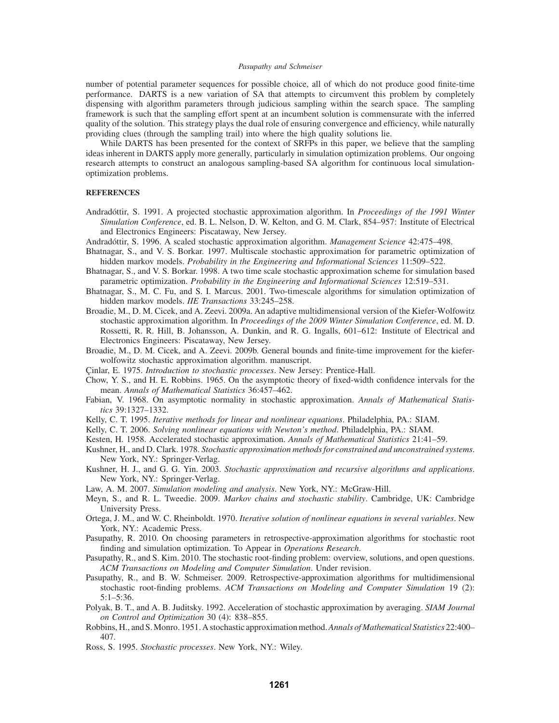number of potential parameter sequences for possible choice, all of which do not produce good finite-time performance. DARTS is a new variation of SA that attempts to circumvent this problem by completely dispensing with algorithm parameters through judicious sampling within the search space. The sampling framework is such that the sampling effort spent at an incumbent solution is commensurate with the inferred quality of the solution. This strategy plays the dual role of ensuring convergence and efficiency, while naturally providing clues (through the sampling trail) into where the high quality solutions lie.

While DARTS has been presented for the context of SRFPs in this paper, we believe that the sampling ideas inherent in DARTS apply more generally, particularly in simulation optimization problems. Our ongoing research attempts to construct an analogous sampling-based SA algorithm for continuous local simulationoptimization problems.

### **REFERENCES**

- Andradóttir, S. 1991. A projected stochastic approximation algorithm. In *Proceedings of the 1991 Winter Simulation Conference*, ed. B. L. Nelson, D. W. Kelton, and G. M. Clark, 854–957: Institute of Electrical and Electronics Engineers: Piscataway, New Jersey.
- Andradóttir, S. 1996. A scaled stochastic approximation algorithm. *Management Science* 42:475–498.
- Bhatnagar, S., and V. S. Borkar. 1997. Multiscale stochastic approximation for parametric optimization of hidden markov models. *Probability in the Engineering and Informational Sciences* 11:509–522.
- Bhatnagar, S., and V. S. Borkar. 1998. A two time scale stochastic approximation scheme for simulation based parametric optimization. *Probability in the Engineering and Informational Sciences* 12:519–531.
- Bhatnagar, S., M. C. Fu, and S. I. Marcus. 2001. Two-timescale algorithms for simulation optimization of hidden markov models. *IIE Transactions* 33:245–258.
- Broadie, M., D. M. Cicek, and A. Zeevi. 2009a. An adaptive multidimensional version of the Kiefer-Wolfowitz stochastic approximation algorithm. In *Proceedings of the 2009 Winter Simulation Conference*, ed. M. D. Rossetti, R. R. Hill, B. Johansson, A. Dunkin, and R. G. Ingalls, 601–612: Institute of Electrical and Electronics Engineers: Piscataway, New Jersey.
- Broadie, M., D. M. Cicek, and A. Zeevi. 2009b. General bounds and finite-time improvement for the kieferwolfowitz stochastic approximation algorithm. manuscript.
- Çinlar, E. 1975. *Introduction to stochastic processes*. New Jersey: Prentice-Hall.
- Chow, Y. S., and H. E. Robbins. 1965. On the asymptotic theory of fixed-width confidence intervals for the mean. *Annals of Mathematical Statistics* 36:457–462.
- Fabian, V. 1968. On asymptotic normality in stochastic approximation. *Annals of Mathematical Statistics* 39:1327–1332.
- Kelly, C. T. 1995. *Iterative methods for linear and nonlinear equations*. Philadelphia, PA.: SIAM.
- Kelly, C. T. 2006. *Solving nonlinear equations with Newton's method*. Philadelphia, PA.: SIAM.
- Kesten, H. 1958. Accelerated stochastic approximation. *Annals of Mathematical Statistics* 21:41–59.
- Kushner, H., and D. Clark. 1978. *Stochastic approximation methods for constrained and unconstrained systems*. New York, NY.: Springer-Verlag.
- Kushner, H. J., and G. G. Yin. 2003. *Stochastic approximation and recursive algorithms and applications*. New York, NY.: Springer-Verlag.
- Law, A. M. 2007. *Simulation modeling and analysis*. New York, NY.: McGraw-Hill.
- Meyn, S., and R. L. Tweedie. 2009. *Markov chains and stochastic stability*. Cambridge, UK: Cambridge University Press.
- Ortega, J. M., and W. C. Rheinboldt. 1970. *Iterative solution of nonlinear equations in several variables*. New York, NY.: Academic Press.
- Pasupathy, R. 2010. On choosing parameters in retrospective-approximation algorithms for stochastic root finding and simulation optimization. To Appear in *Operations Research*.
- Pasupathy, R., and S. Kim. 2010. The stochastic root-finding problem: overview, solutions, and open questions. *ACM Transactions on Modeling and Computer Simulation*. Under revision.
- Pasupathy, R., and B. W. Schmeiser. 2009. Retrospective-approximation algorithms for multidimensional stochastic root-finding problems. *ACM Transactions on Modeling and Computer Simulation* 19 (2): 5:1–5:36.
- Polyak, B. T., and A. B. Juditsky. 1992. Acceleration of stochastic approximation by averaging. *SIAM Journal on Control and Optimization* 30 (4): 838–855.
- Robbins, H., and S. Monro. 1951. A stochastic approximation method.*Annals of Mathematical Statistics* 22:400– 407.
- Ross, S. 1995. *Stochastic processes*. New York, NY.: Wiley.